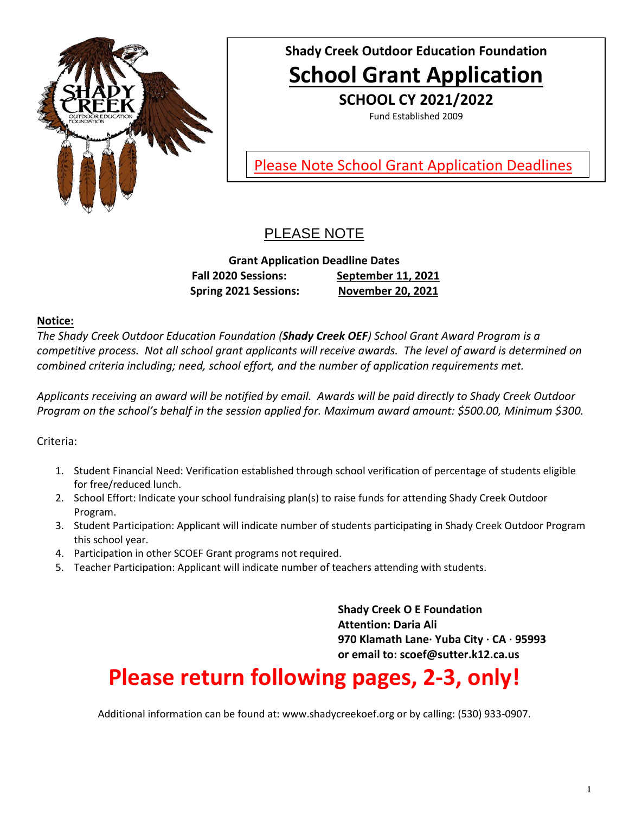

## **Shady Creek Outdoor Education Foundation School Grant Application**

**SCHOOL CY 2021/2022**

Fund Established 2009

Please Note School Grant Application Deadlines

## PLEASE NOTE

**Grant Application Deadline Dates Fall 2020 Sessions: September 11, 2021 Spring 2021 Sessions: November 20, 2021**

<u>dates de la pro</u>

#### **Notice:**

*The Shady Creek Outdoor Education Foundation (Shady Creek OEF) School Grant Award Program is a competitive process. Not all school grant applicants will receive awards. The level of award is determined on combined criteria including; need, school effort, and the number of application requirements met.* 

*Applicants receiving an award will be notified by email. Awards will be paid directly to Shady Creek Outdoor Program on the school's behalf in the session applied for. Maximum award amount: \$500.00, Minimum \$300.*

Criteria:

- 1. Student Financial Need: Verification established through school verification of percentage of students eligible for free/reduced lunch.
- 2. School Effort: Indicate your school fundraising plan(s) to raise funds for attending Shady Creek Outdoor Program.
- 3. Student Participation: Applicant will indicate number of students participating in Shady Creek Outdoor Program this school year.
- 4. Participation in other SCOEF Grant programs not required.
- 5. Teacher Participation: Applicant will indicate number of teachers attending with students.

**Shady Creek O E Foundation Attention: Daria Ali 970 Klamath Lane· Yuba City · CA · 95993 or email to: scoef@sutter.k12.ca.us**

# **Please return following pages, 2-3, only!**

Additional information can be found at: [www.shadycreekoef.org](http://www.shadycreekoef.org/) or by calling: (530) 933-0907.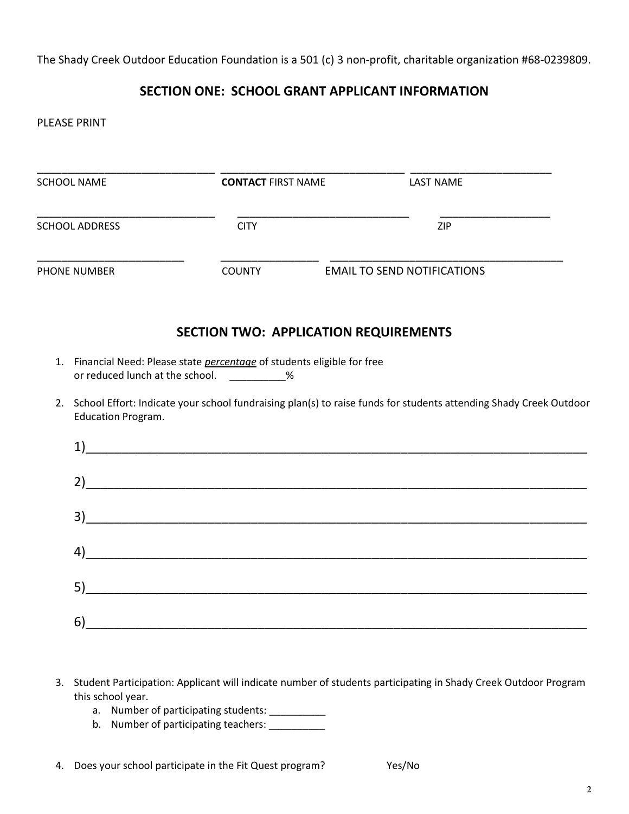The Shady Creek Outdoor Education Foundation is a 501 (c) 3 non-profit, charitable organization #68-0239809.

#### **SECTION ONE: SCHOOL GRANT APPLICANT INFORMATION**

PLEASE PRINT

| <b>SCHOOL NAME</b>              | <b>CONTACT FIRST NAME</b>                                                                                                        | <b>LAST NAME</b>                                                                                                     |
|---------------------------------|----------------------------------------------------------------------------------------------------------------------------------|----------------------------------------------------------------------------------------------------------------------|
| <b>SCHOOL ADDRESS</b>           | <b>CITY</b>                                                                                                                      | ZIP                                                                                                                  |
| PHONE NUMBER                    | <b>COUNTY</b>                                                                                                                    | <b>EMAIL TO SEND NOTIFICATIONS</b>                                                                                   |
|                                 |                                                                                                                                  | <b>SECTION TWO: APPLICATION REQUIREMENTS</b>                                                                         |
|                                 | 1. Financial Need: Please state <i>percentage</i> of students eligible for free<br>or reduced lunch at the school. ___________ % | 2. School Effort: Indicate your school fundraising plan(s) to raise funds for students attending Shady Creek Outdoor |
| <b>Education Program.</b><br>1) |                                                                                                                                  |                                                                                                                      |
| 2)                              |                                                                                                                                  |                                                                                                                      |
| 3)                              |                                                                                                                                  |                                                                                                                      |
| 4)                              |                                                                                                                                  |                                                                                                                      |
| 5)                              |                                                                                                                                  |                                                                                                                      |
| 6)                              |                                                                                                                                  |                                                                                                                      |

- 3. Student Participation: Applicant will indicate number of students participating in Shady Creek Outdoor Program this school year.
	- a. Number of participating students: \_\_\_\_\_\_\_\_\_\_\_\_
	- b. Number of participating teachers: \_\_\_\_\_\_\_\_\_\_\_